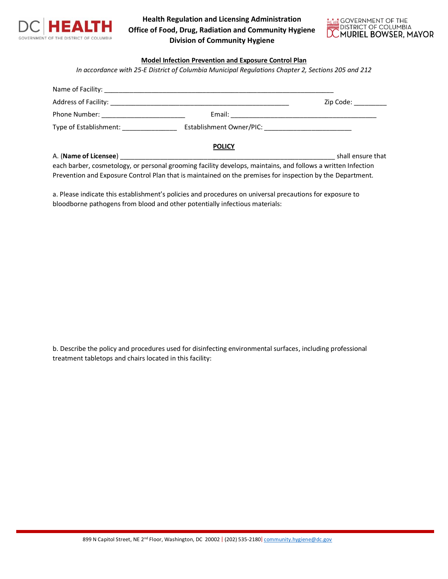

**Health Regulation and Licensing Administration Office of Food, Drug, Radiation and Community Hygiene Division of Community Hygiene**



## **Model Infection Prevention and Exposure Control Plan**

*In accordance with 25-E District of Columbia Municipal Regulations Chapter 2, Sections 205 and 212*

|                                                                                                              | Zip Code: The Code Side of the Code Side of the Side of the Side of the Side of the Side of the Side of the Si |
|--------------------------------------------------------------------------------------------------------------|----------------------------------------------------------------------------------------------------------------|
|                                                                                                              |                                                                                                                |
|                                                                                                              |                                                                                                                |
| <b>POLICY</b>                                                                                                |                                                                                                                |
|                                                                                                              | shall ensure that                                                                                              |
| each barber, cosmetology, or personal grooming facility develops, maintains, and follows a written Infection |                                                                                                                |
| Prevention and Exposure Control Plan that is maintained on the premises for inspection by the Department.    |                                                                                                                |

a. Please indicate this establishment's policies and procedures on universal precautions for exposure to bloodborne pathogens from blood and other potentially infectious materials:

b. Describe the policy and procedures used for disinfecting environmental surfaces, including professional treatment tabletops and chairs located in this facility:

899 N Capitol Street, NE 2<sup>nd</sup> Floor, Washington, DC 20002 | (202) 535-2180| [community.hygiene@dc.gov](mailto:community.hygiene@dc.gov)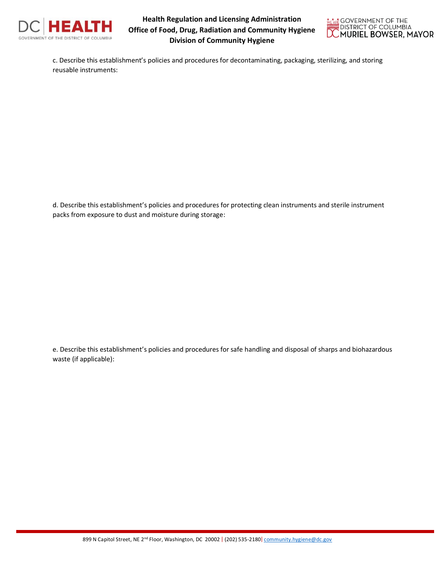

**Health Regulation and Licensing Administration Office of Food, Drug, Radiation and Community Hygiene Division of Community Hygiene**



c. Describe this establishment's policies and procedures for decontaminating, packaging, sterilizing, and storing reusable instruments:

d. Describe this establishment's policies and procedures for protecting clean instruments and sterile instrument packs from exposure to dust and moisture during storage:

e. Describe this establishment's policies and procedures for safe handling and disposal of sharps and biohazardous waste (if applicable):